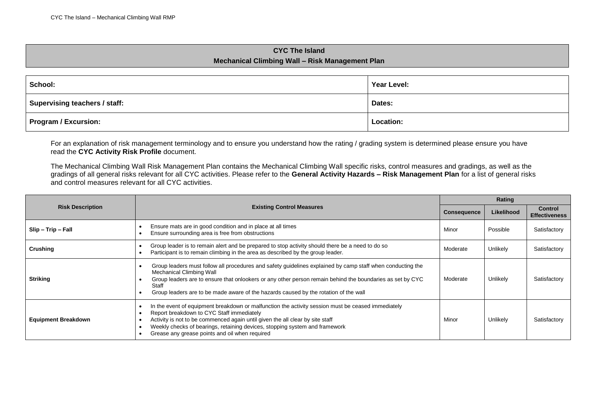## **CYC The Island Mechanical Climbing Wall – Risk Management Plan**

| School:                       | Year Level: |
|-------------------------------|-------------|
| Supervising teachers / staff: | Dates:      |
| <b>Program / Excursion:</b>   | Location:   |

For an explanation of risk management terminology and to ensure you understand how the rating / grading system is determined please ensure you have read the **CYC Activity Risk Profile** document.

The Mechanical Climbing Wall Risk Management Plan contains the Mechanical Climbing Wall specific risks, control measures and gradings, as well as the gradings of all general risks relevant for all CYC activities. Please refer to the **General Activity Hazards – Risk Management Plan** for a list of general risks and control measures relevant for all CYC activities.

|                            | <b>Existing Control Measures</b>                                                                                                                                                                                                                                                                                                                                  |          | Rating     |                                 |  |
|----------------------------|-------------------------------------------------------------------------------------------------------------------------------------------------------------------------------------------------------------------------------------------------------------------------------------------------------------------------------------------------------------------|----------|------------|---------------------------------|--|
| <b>Risk Description</b>    |                                                                                                                                                                                                                                                                                                                                                                   |          | Likelihood | Control<br><b>Effectiveness</b> |  |
| Slip - Trip - Fall         | Ensure mats are in good condition and in place at all times<br>Ensure surrounding area is free from obstructions                                                                                                                                                                                                                                                  | Minor    | Possible   | Satisfactory                    |  |
| Crushing                   | Group leader is to remain alert and be prepared to stop activity should there be a need to do so<br>Participant is to remain climbing in the area as described by the group leader.                                                                                                                                                                               | Moderate | Unlikely   | Satisfactory                    |  |
| <b>Striking</b>            | Group leaders must follow all procedures and safety guidelines explained by camp staff when conducting the<br>Mechanical Climbing Wall<br>Group leaders are to ensure that onlookers or any other person remain behind the boundaries as set by CYC<br>Staff<br>Group leaders are to be made aware of the hazards caused by the rotation of the wall              | Moderate | Unlikely   | Satisfactory                    |  |
| <b>Equipment Breakdown</b> | In the event of equipment breakdown or malfunction the activity session must be ceased immediately<br>Report breakdown to CYC Staff immediately<br>Activity is not to be commenced again until given the all clear by site staff<br>Weekly checks of bearings, retaining devices, stopping system and framework<br>Grease any grease points and oil when required | Minor    | Unlikely   | Satisfactory                    |  |